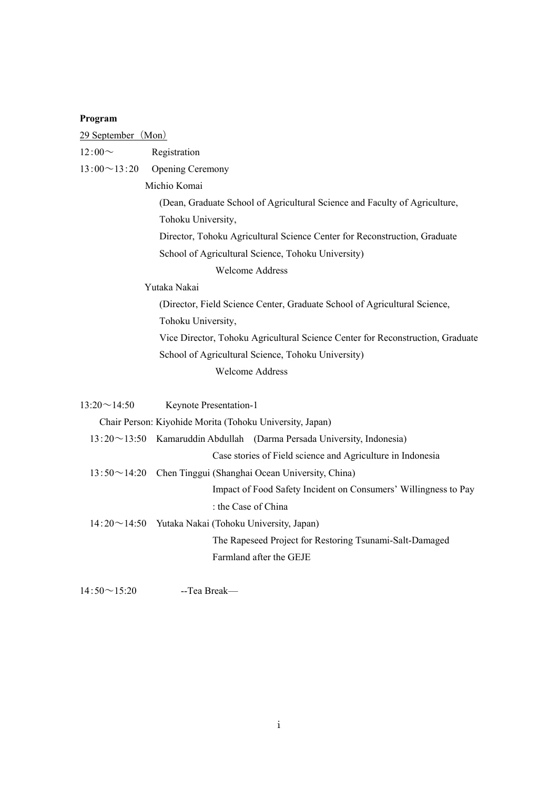## **Program**

| Registration |
|--------------|
|              |

 $13:00 \sim 13:20$  Opening Ceremony

Michio Komai

(Dean, Graduate School of Agricultural Science and Faculty of Agriculture, Tohoku University,

Director, Tohoku Agricultural Science Center for Reconstruction, Graduate

School of Agricultural Science, Tohoku University)

Welcome Address

Yutaka Nakai

(Director, Field Science Center, Graduate School of Agricultural Science, Tohoku University, Vice Director, Tohoku Agricultural Science Center for Reconstruction, Graduate

School of Agricultural Science, Tohoku University)

Welcome Address

| $13:20 \sim 14:50$ | <b>Keynote Presentation-1</b>                                                |
|--------------------|------------------------------------------------------------------------------|
|                    | Chair Person: Kiyohide Morita (Tohoku University, Japan)                     |
|                    | $13:20 \sim 13:50$ Kamaruddin Abdullah (Darma Persada University, Indonesia) |
|                    | Case stories of Field science and Agriculture in Indonesia                   |
|                    | 13:50~14:20 Chen Tinggui (Shanghai Ocean University, China)                  |
|                    | Impact of Food Safety Incident on Consumers' Willingness to Pay              |
|                    | : the Case of China                                                          |
|                    | $14:20 \sim 14:50$ Yutaka Nakai (Tohoku University, Japan)                   |
|                    | The Rapeseed Project for Restoring Tsunami-Salt-Damaged                      |
|                    | Farmland after the GEJE                                                      |
|                    |                                                                              |

14:50~15:20 --Tea Break—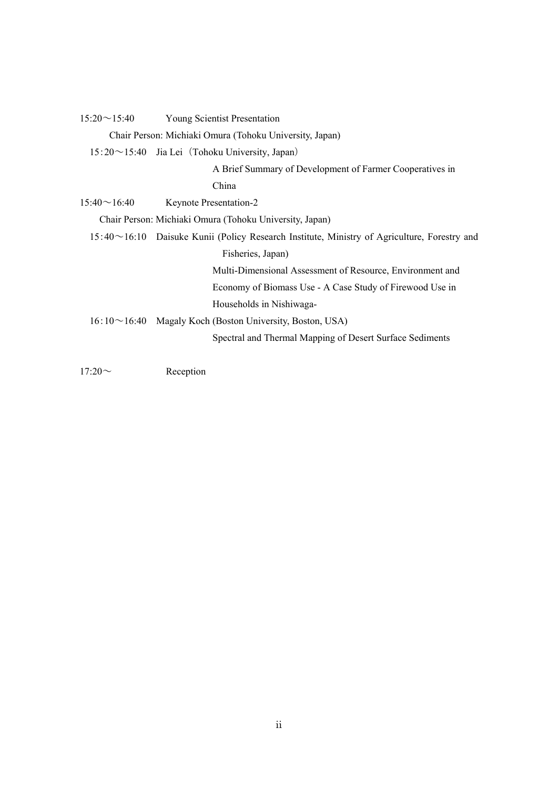| $15:20 \sim 15:40$ | <b>Young Scientist Presentation</b>                                                                |
|--------------------|----------------------------------------------------------------------------------------------------|
|                    | Chair Person: Michiaki Omura (Tohoku University, Japan)                                            |
|                    | 15:20~15:40 Jia Lei (Tohoku University, Japan)                                                     |
|                    | A Brief Summary of Development of Farmer Cooperatives in                                           |
|                    | China                                                                                              |
| $15.40 \sim 16.40$ | Keynote Presentation-2                                                                             |
|                    | Chair Person: Michiaki Omura (Tohoku University, Japan)                                            |
|                    | $15:40 \sim 16:10$ Daisuke Kunii (Policy Research Institute, Ministry of Agriculture, Forestry and |
|                    | Fisheries, Japan)                                                                                  |
|                    | Multi-Dimensional Assessment of Resource, Environment and                                          |
|                    | Economy of Biomass Use - A Case Study of Firewood Use in                                           |
|                    | Households in Nishiwaga-                                                                           |
| $16:10 \sim 16.40$ | Magaly Koch (Boston University, Boston, USA)                                                       |
|                    | Spectral and Thermal Mapping of Desert Surface Sediments                                           |
|                    |                                                                                                    |

17:20~ Reception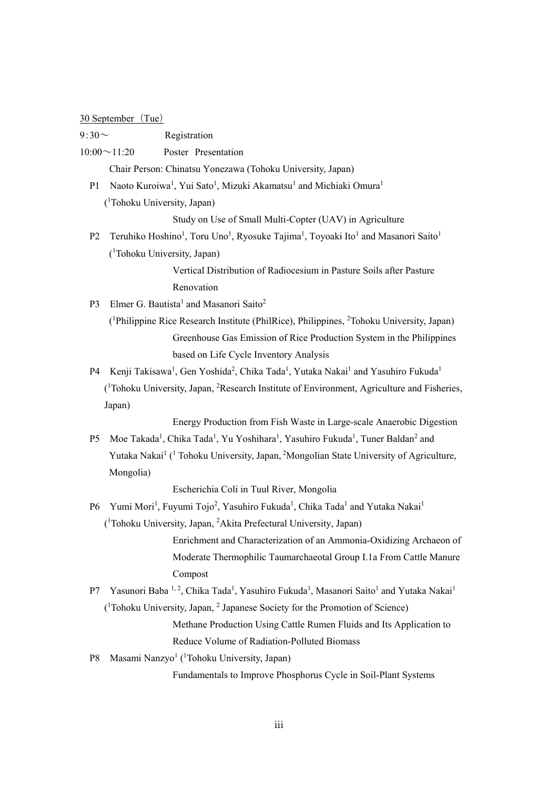## 30 September (Tue)

| $9:30^{\sim}$  | Registration                                                                                                                                      |
|----------------|---------------------------------------------------------------------------------------------------------------------------------------------------|
|                | Poster Presentation<br>$10:00 \sim 11:20$                                                                                                         |
|                | Chair Person: Chinatsu Yonezawa (Tohoku University, Japan)                                                                                        |
| P <sub>1</sub> | Naoto Kuroiwa <sup>1</sup> , Yui Sato <sup>1</sup> , Mizuki Akamatsu <sup>1</sup> and Michiaki Omura <sup>1</sup>                                 |
|                | ( <sup>1</sup> Tohoku University, Japan)                                                                                                          |
|                | Study on Use of Small Multi-Copter (UAV) in Agriculture                                                                                           |
| P <sub>2</sub> | Teruhiko Hoshino <sup>1</sup> , Toru Uno <sup>1</sup> , Ryosuke Tajima <sup>1</sup> , Toyoaki Ito <sup>1</sup> and Masanori Saito <sup>1</sup>    |
|                | ( <sup>1</sup> Tohoku University, Japan)                                                                                                          |
|                | Vertical Distribution of Radiocesium in Pasture Soils after Pasture                                                                               |
|                | Renovation                                                                                                                                        |
| P <sub>3</sub> | Elmer G. Bautista <sup>1</sup> and Masanori Saito <sup>2</sup>                                                                                    |
|                | ( <sup>1</sup> Philippine Rice Research Institute (PhilRice), Philippines, <sup>2</sup> Tohoku University, Japan)                                 |
|                | Greenhouse Gas Emission of Rice Production System in the Philippines                                                                              |
|                | based on Life Cycle Inventory Analysis                                                                                                            |
| P <sub>4</sub> | Kenji Takisawa <sup>1</sup> , Gen Yoshida <sup>2</sup> , Chika Tada <sup>1</sup> , Yutaka Nakai <sup>1</sup> and Yasuhiro Fukuda <sup>1</sup>     |
|                | ( <sup>1</sup> Tohoku University, Japan, <sup>2</sup> Research Institute of Environment, Agriculture and Fisheries,                               |
|                | Japan)                                                                                                                                            |
|                | Energy Production from Fish Waste in Large-scale Anaerobic Digestion                                                                              |
| P <sub>5</sub> | Moe Takada <sup>1</sup> , Chika Tada <sup>1</sup> , Yu Yoshihara <sup>1</sup> , Yasuhiro Fukuda <sup>1</sup> , Tuner Baldan <sup>2</sup> and      |
|                | Yutaka Nakai <sup>1</sup> ( <sup>1</sup> Tohoku University, Japan, <sup>2</sup> Mongolian State University of Agriculture,                        |
|                | Mongolia)                                                                                                                                         |
|                | Escherichia Coli in Tuul River, Mongolia                                                                                                          |
| P <sub>6</sub> | Yumi Mori <sup>1</sup> , Fuyumi Tojo <sup>2</sup> , Yasuhiro Fukuda <sup>1</sup> , Chika Tada <sup>1</sup> and Yutaka Nakai <sup>1</sup>          |
|                | ( <sup>1</sup> Tohoku University, Japan, <sup>2</sup> Akita Prefectural University, Japan)                                                        |
|                | Enrichment and Characterization of an Ammonia-Oxidizing Archaeon of                                                                               |
|                | Moderate Thermophilic Taumarchaeotal Group I.1a From Cattle Manure                                                                                |
|                | Compost                                                                                                                                           |
| P7             | Yasunori Baba <sup>1,2</sup> , Chika Tada <sup>1</sup> , Yasuhiro Fukuda <sup>1</sup> , Masanori Saito <sup>1</sup> and Yutaka Nakai <sup>1</sup> |
|                | $(^1$ Tohoku University, Japan, $^2$ Japanese Society for the Promotion of Science)                                                               |
|                | Methane Production Using Cattle Rumen Fluids and Its Application to                                                                               |
|                | Reduce Volume of Radiation-Polluted Biomass                                                                                                       |
| P8             | Masami Nanzyo <sup>1</sup> ( <sup>1</sup> Tohoku University, Japan)                                                                               |
|                | Fundamentals to Improve Phosphorus Cycle in Soil-Plant Systems                                                                                    |